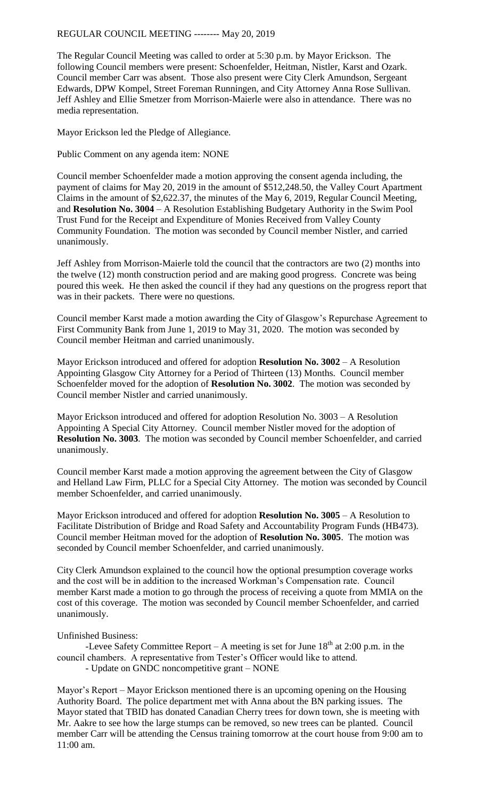The Regular Council Meeting was called to order at 5:30 p.m. by Mayor Erickson. The following Council members were present: Schoenfelder, Heitman, Nistler, Karst and Ozark. Council member Carr was absent. Those also present were City Clerk Amundson, Sergeant Edwards, DPW Kompel, Street Foreman Runningen, and City Attorney Anna Rose Sullivan. Jeff Ashley and Ellie Smetzer from Morrison-Maierle were also in attendance. There was no media representation.

Mayor Erickson led the Pledge of Allegiance.

Public Comment on any agenda item: NONE

Council member Schoenfelder made a motion approving the consent agenda including, the payment of claims for May 20, 2019 in the amount of \$512,248.50, the Valley Court Apartment Claims in the amount of \$2,622.37, the minutes of the May 6, 2019, Regular Council Meeting, and **Resolution No. 3004** – A Resolution Establishing Budgetary Authority in the Swim Pool Trust Fund for the Receipt and Expenditure of Monies Received from Valley County Community Foundation. The motion was seconded by Council member Nistler, and carried unanimously.

Jeff Ashley from Morrison-Maierle told the council that the contractors are two (2) months into the twelve (12) month construction period and are making good progress. Concrete was being poured this week. He then asked the council if they had any questions on the progress report that was in their packets. There were no questions.

Council member Karst made a motion awarding the City of Glasgow's Repurchase Agreement to First Community Bank from June 1, 2019 to May 31, 2020. The motion was seconded by Council member Heitman and carried unanimously.

Mayor Erickson introduced and offered for adoption **Resolution No. 3002** – A Resolution Appointing Glasgow City Attorney for a Period of Thirteen (13) Months. Council member Schoenfelder moved for the adoption of **Resolution No. 3002**. The motion was seconded by Council member Nistler and carried unanimously.

Mayor Erickson introduced and offered for adoption Resolution No. 3003 – A Resolution Appointing A Special City Attorney. Council member Nistler moved for the adoption of **Resolution No. 3003**. The motion was seconded by Council member Schoenfelder, and carried unanimously.

Council member Karst made a motion approving the agreement between the City of Glasgow and Helland Law Firm, PLLC for a Special City Attorney. The motion was seconded by Council member Schoenfelder, and carried unanimously.

Mayor Erickson introduced and offered for adoption **Resolution No. 3005** – A Resolution to Facilitate Distribution of Bridge and Road Safety and Accountability Program Funds (HB473). Council member Heitman moved for the adoption of **Resolution No. 3005**. The motion was seconded by Council member Schoenfelder, and carried unanimously.

City Clerk Amundson explained to the council how the optional presumption coverage works and the cost will be in addition to the increased Workman's Compensation rate. Council member Karst made a motion to go through the process of receiving a quote from MMIA on the cost of this coverage. The motion was seconded by Council member Schoenfelder, and carried unanimously.

## Unfinished Business:

-Levee Safety Committee Report – A meeting is set for June  $18<sup>th</sup>$  at 2:00 p.m. in the council chambers. A representative from Tester's Officer would like to attend. - Update on GNDC noncompetitive grant – NONE

Mayor's Report – Mayor Erickson mentioned there is an upcoming opening on the Housing Authority Board. The police department met with Anna about the BN parking issues. The Mayor stated that TBID has donated Canadian Cherry trees for down town, she is meeting with Mr. Aakre to see how the large stumps can be removed, so new trees can be planted. Council member Carr will be attending the Census training tomorrow at the court house from 9:00 am to 11:00 am.